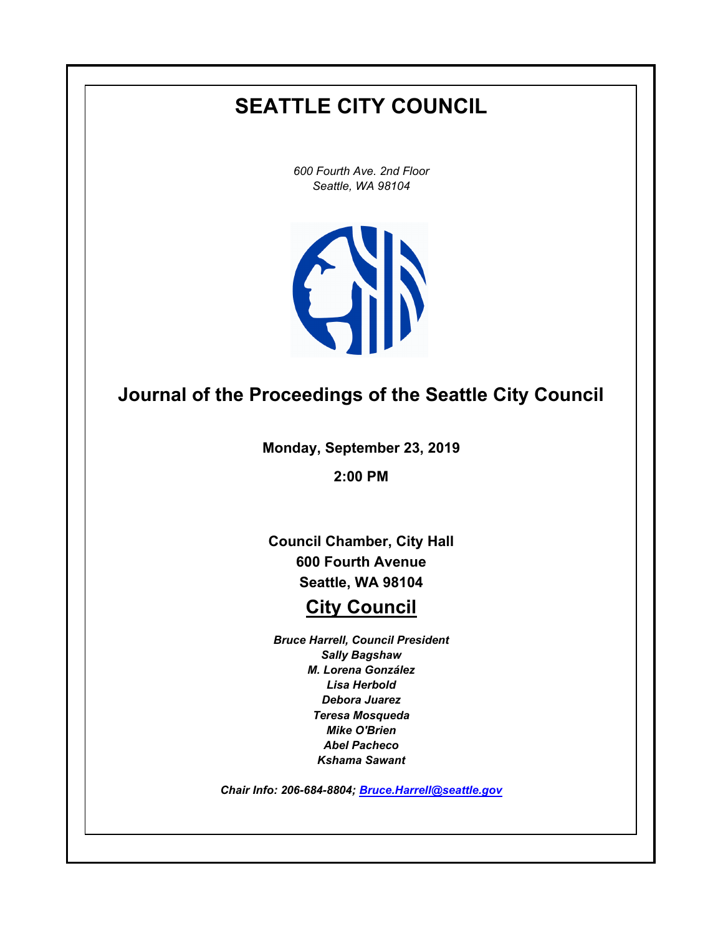# **SEATTLE CITY COUNCIL**

*600 Fourth Ave. 2nd Floor Seattle, WA 98104*



# **Journal of the Proceedings of the Seattle City Council**

**Monday, September 23, 2019**

**2:00 PM**

**Council Chamber, City Hall 600 Fourth Avenue Seattle, WA 98104**

## **City Council**

*Bruce Harrell, Council President Sally Bagshaw M. Lorena González Lisa Herbold Debora Juarez Teresa Mosqueda Mike O'Brien Abel Pacheco Kshama Sawant*

*Chair Info: 206-684-8804; [Bruce.Harrell@seattle.gov](mailto:Bruce.Harrell@seattle.gov)*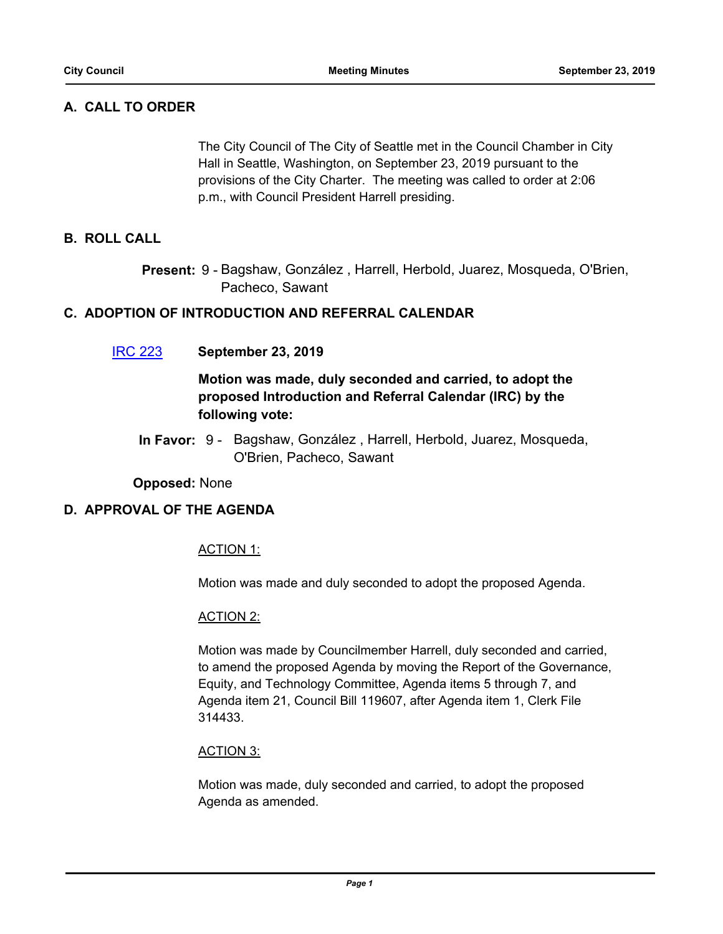## **A. CALL TO ORDER**

The City Council of The City of Seattle met in the Council Chamber in City Hall in Seattle, Washington, on September 23, 2019 pursuant to the provisions of the City Charter. The meeting was called to order at 2:06 p.m., with Council President Harrell presiding.

## **B. ROLL CALL**

Present: 9 - Bagshaw, González, Harrell, Herbold, Juarez, Mosqueda, O'Brien, Pacheco, Sawant

#### **C. ADOPTION OF INTRODUCTION AND REFERRAL CALENDAR**

[IRC 223](http://seattle.legistar.com/gateway.aspx?m=l&id=/matter.aspx?key=9180) **September 23, 2019**

## **Motion was made, duly seconded and carried, to adopt the proposed Introduction and Referral Calendar (IRC) by the following vote:**

In Favor: 9 - Bagshaw, González, Harrell, Herbold, Juarez, Mosqueda, O'Brien, Pacheco, Sawant

#### **Opposed:** None

#### **D. APPROVAL OF THE AGENDA**

#### ACTION 1:

Motion was made and duly seconded to adopt the proposed Agenda.

#### ACTION 2:

Motion was made by Councilmember Harrell, duly seconded and carried, to amend the proposed Agenda by moving the Report of the Governance, Equity, and Technology Committee, Agenda items 5 through 7, and Agenda item 21, Council Bill 119607, after Agenda item 1, Clerk File 314433.

#### ACTION 3:

Motion was made, duly seconded and carried, to adopt the proposed Agenda as amended.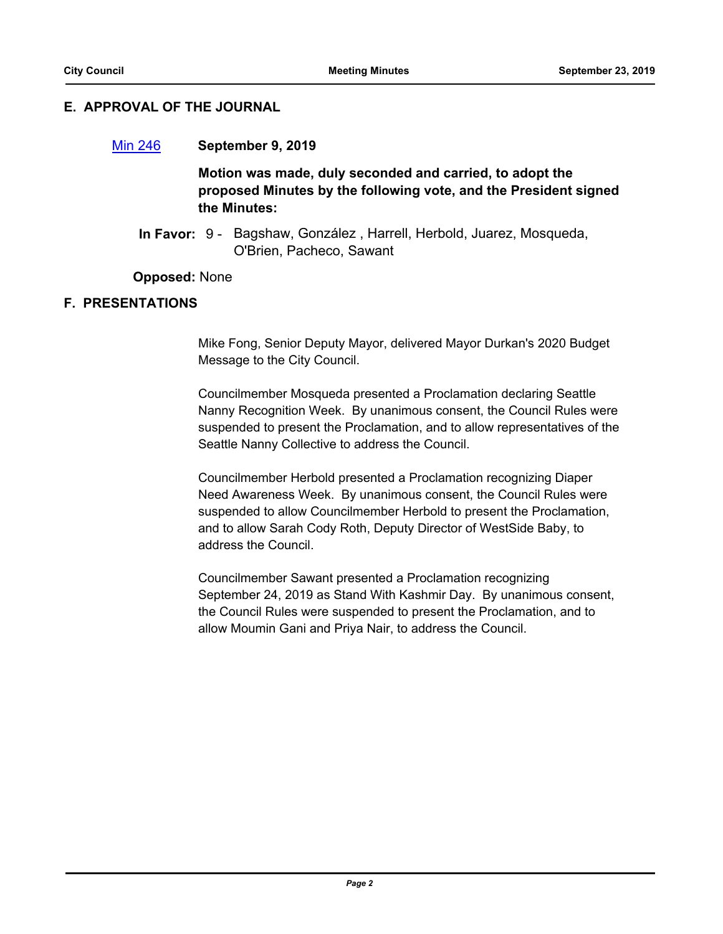## **E. APPROVAL OF THE JOURNAL**

#### [Min 246](http://seattle.legistar.com/gateway.aspx?m=l&id=/matter.aspx?key=9193) **September 9, 2019**

**Motion was made, duly seconded and carried, to adopt the proposed Minutes by the following vote, and the President signed the Minutes:**

In Favor: 9 - Bagshaw, González, Harrell, Herbold, Juarez, Mosqueda, O'Brien, Pacheco, Sawant

**Opposed:** None

#### **F. PRESENTATIONS**

Mike Fong, Senior Deputy Mayor, delivered Mayor Durkan's 2020 Budget Message to the City Council.

Councilmember Mosqueda presented a Proclamation declaring Seattle Nanny Recognition Week. By unanimous consent, the Council Rules were suspended to present the Proclamation, and to allow representatives of the Seattle Nanny Collective to address the Council.

Councilmember Herbold presented a Proclamation recognizing Diaper Need Awareness Week. By unanimous consent, the Council Rules were suspended to allow Councilmember Herbold to present the Proclamation, and to allow Sarah Cody Roth, Deputy Director of WestSide Baby, to address the Council.

Councilmember Sawant presented a Proclamation recognizing September 24, 2019 as Stand With Kashmir Day. By unanimous consent, the Council Rules were suspended to present the Proclamation, and to allow Moumin Gani and Priya Nair, to address the Council.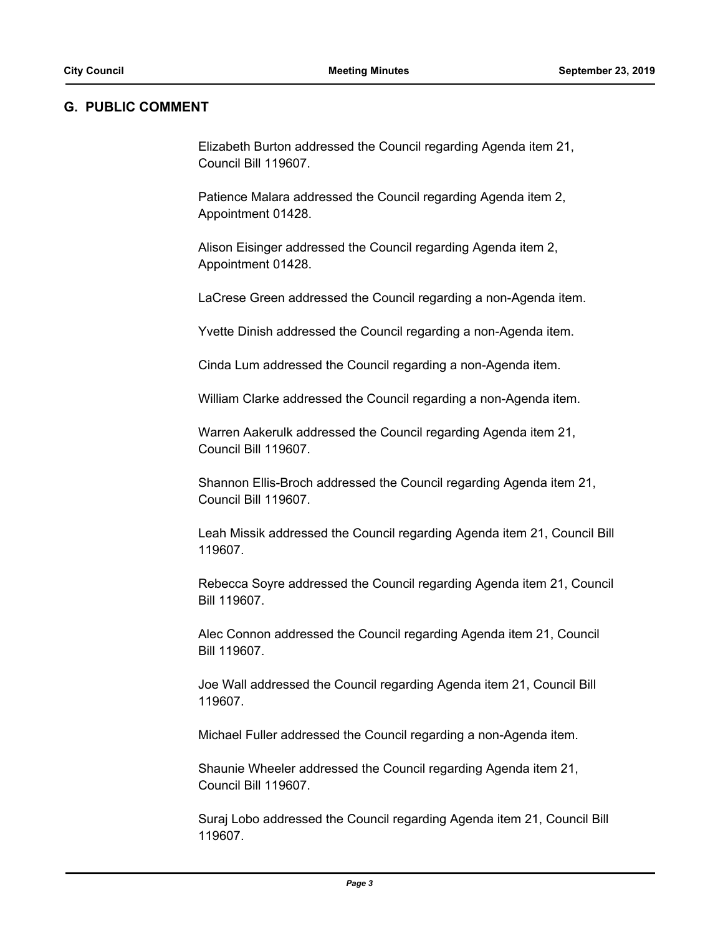#### **G. PUBLIC COMMENT**

Elizabeth Burton addressed the Council regarding Agenda item 21, Council Bill 119607.

Patience Malara addressed the Council regarding Agenda item 2, Appointment 01428.

Alison Eisinger addressed the Council regarding Agenda item 2, Appointment 01428.

LaCrese Green addressed the Council regarding a non-Agenda item.

Yvette Dinish addressed the Council regarding a non-Agenda item.

Cinda Lum addressed the Council regarding a non-Agenda item.

William Clarke addressed the Council regarding a non-Agenda item.

Warren Aakerulk addressed the Council regarding Agenda item 21, Council Bill 119607.

Shannon Ellis-Broch addressed the Council regarding Agenda item 21, Council Bill 119607.

Leah Missik addressed the Council regarding Agenda item 21, Council Bill 119607.

Rebecca Soyre addressed the Council regarding Agenda item 21, Council Bill 119607.

Alec Connon addressed the Council regarding Agenda item 21, Council Bill 119607.

Joe Wall addressed the Council regarding Agenda item 21, Council Bill 119607.

Michael Fuller addressed the Council regarding a non-Agenda item.

Shaunie Wheeler addressed the Council regarding Agenda item 21, Council Bill 119607.

Suraj Lobo addressed the Council regarding Agenda item 21, Council Bill 119607.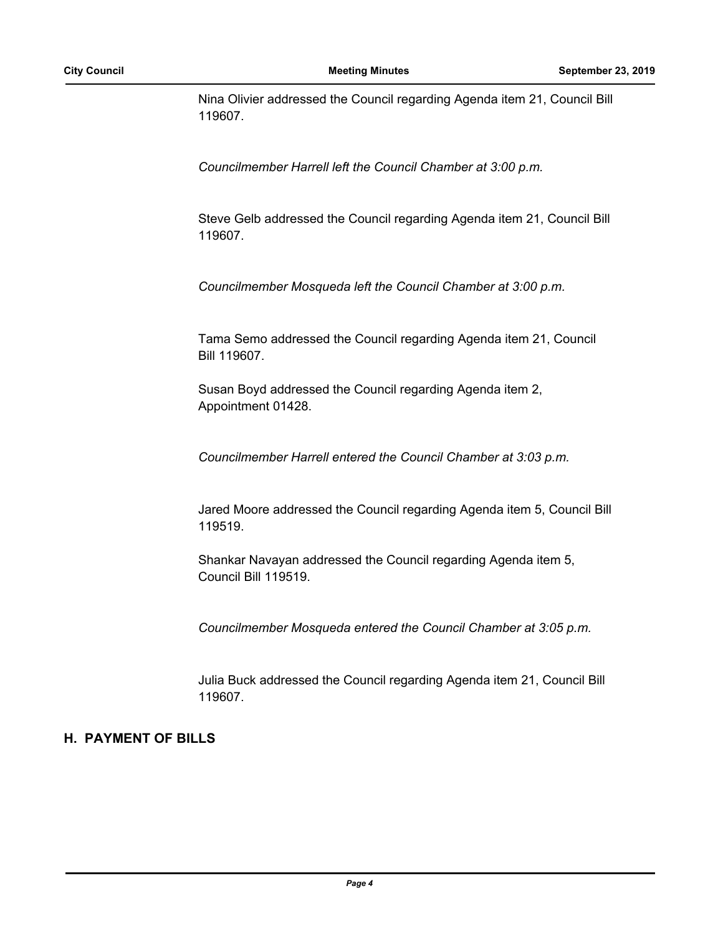Nina Olivier addressed the Council regarding Agenda item 21, Council Bill 119607.

*Councilmember Harrell left the Council Chamber at 3:00 p.m.*

Steve Gelb addressed the Council regarding Agenda item 21, Council Bill 119607.

*Councilmember Mosqueda left the Council Chamber at 3:00 p.m.*

Tama Semo addressed the Council regarding Agenda item 21, Council Bill 119607.

Susan Boyd addressed the Council regarding Agenda item 2, Appointment 01428.

*Councilmember Harrell entered the Council Chamber at 3:03 p.m.*

Jared Moore addressed the Council regarding Agenda item 5, Council Bill 119519.

Shankar Navayan addressed the Council regarding Agenda item 5, Council Bill 119519.

*Councilmember Mosqueda entered the Council Chamber at 3:05 p.m.*

Julia Buck addressed the Council regarding Agenda item 21, Council Bill 119607.

#### **H. PAYMENT OF BILLS**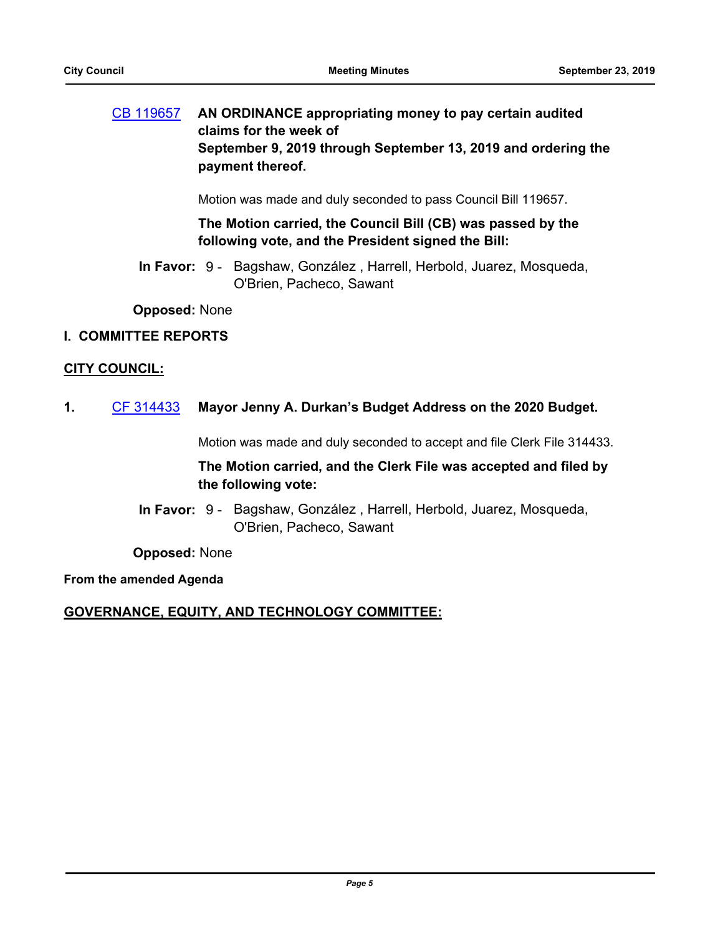## [CB 119657](http://seattle.legistar.com/gateway.aspx?m=l&id=/matter.aspx?key=9179) **AN ORDINANCE appropriating money to pay certain audited claims for the week of September 9, 2019 through September 13, 2019 and ordering the payment thereof.**

Motion was made and duly seconded to pass Council Bill 119657.

#### **The Motion carried, the Council Bill (CB) was passed by the following vote, and the President signed the Bill:**

In Favor: 9 - Bagshaw, González, Harrell, Herbold, Juarez, Mosqueda, O'Brien, Pacheco, Sawant

**Opposed:** None

#### **I. COMMITTEE REPORTS**

#### **CITY COUNCIL:**

**1.** [CF 314433](http://seattle.legistar.com/gateway.aspx?m=l&id=/matter.aspx?key=9186) **Mayor Jenny A. Durkan's Budget Address on the 2020 Budget.**

Motion was made and duly seconded to accept and file Clerk File 314433.

## **The Motion carried, and the Clerk File was accepted and filed by the following vote:**

In Favor: 9 - Bagshaw, González, Harrell, Herbold, Juarez, Mosqueda, O'Brien, Pacheco, Sawant

**Opposed:** None

#### **From the amended Agenda**

#### **GOVERNANCE, EQUITY, AND TECHNOLOGY COMMITTEE:**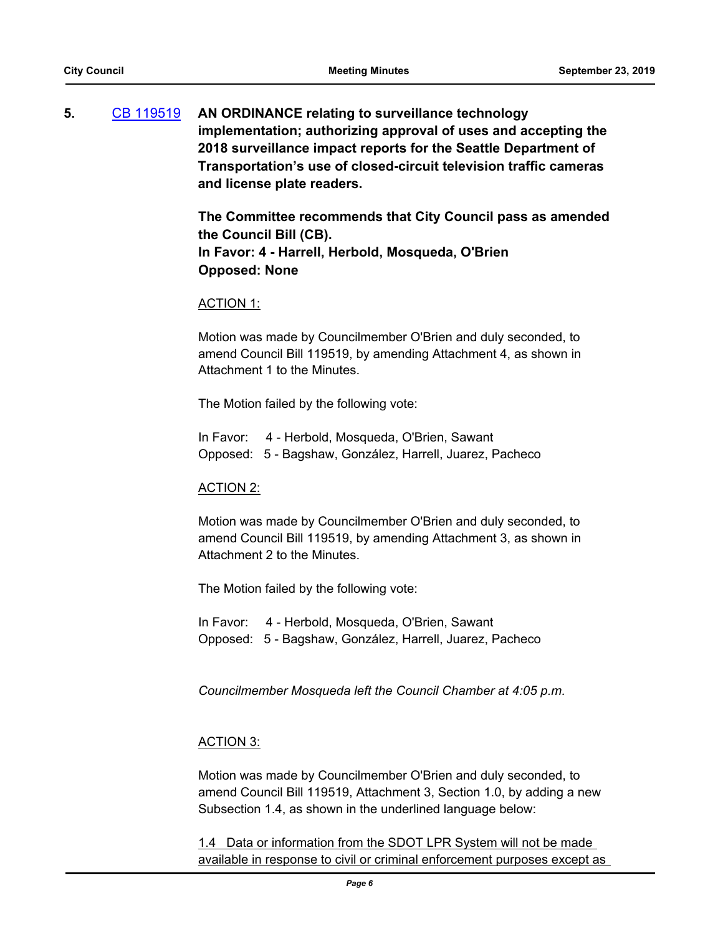**5.** [CB 119519](http://seattle.legistar.com/gateway.aspx?m=l&id=/matter.aspx?key=8663) **AN ORDINANCE relating to surveillance technology implementation; authorizing approval of uses and accepting the 2018 surveillance impact reports for the Seattle Department of Transportation's use of closed-circuit television traffic cameras and license plate readers.**

> **The Committee recommends that City Council pass as amended the Council Bill (CB). In Favor: 4 - Harrell, Herbold, Mosqueda, O'Brien Opposed: None**

#### ACTION 1:

Motion was made by Councilmember O'Brien and duly seconded, to amend Council Bill 119519, by amending Attachment 4, as shown in Attachment 1 to the Minutes.

The Motion failed by the following vote:

In Favor: 4 - Herbold, Mosqueda, O'Brien, Sawant Opposed: 5 - Bagshaw, González, Harrell, Juarez, Pacheco

#### ACTION 2:

Motion was made by Councilmember O'Brien and duly seconded, to amend Council Bill 119519, by amending Attachment 3, as shown in Attachment 2 to the Minutes.

The Motion failed by the following vote:

In Favor: 4 - Herbold, Mosqueda, O'Brien, Sawant Opposed: 5 - Bagshaw, González, Harrell, Juarez, Pacheco

*Councilmember Mosqueda left the Council Chamber at 4:05 p.m.*

#### ACTION 3:

Motion was made by Councilmember O'Brien and duly seconded, to amend Council Bill 119519, Attachment 3, Section 1.0, by adding a new Subsection 1.4, as shown in the underlined language below:

1.4 Data or information from the SDOT LPR System will not be made available in response to civil or criminal enforcement purposes except as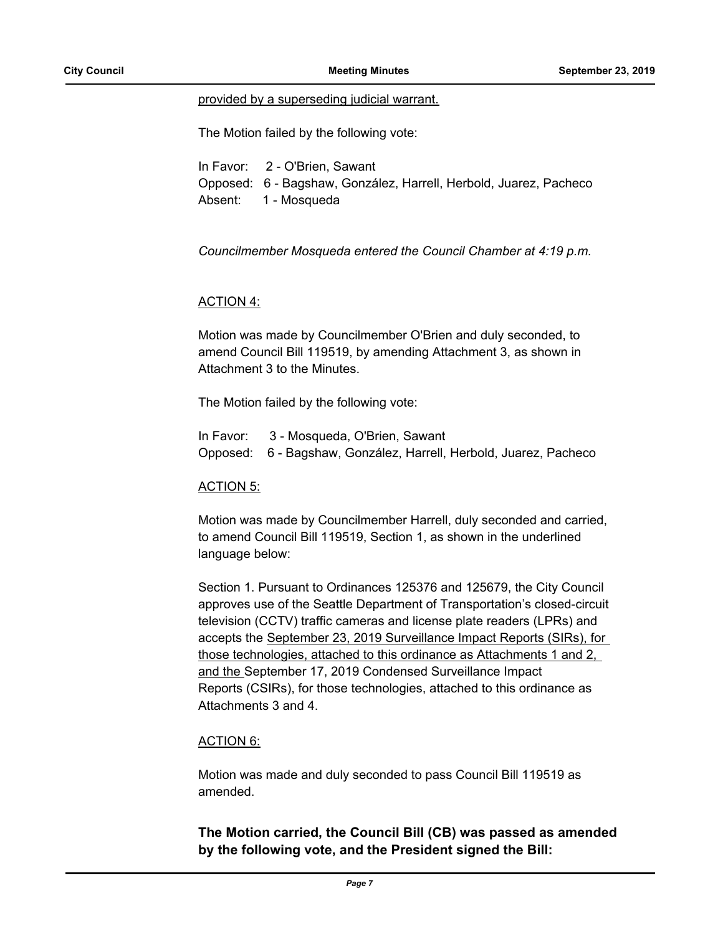#### provided by a superseding judicial warrant.

The Motion failed by the following vote:

In Favor: 2 - O'Brien, Sawant Opposed: 6 - Bagshaw, González, Harrell, Herbold, Juarez, Pacheco Absent: 1 - Mosqueda

*Councilmember Mosqueda entered the Council Chamber at 4:19 p.m.*

#### ACTION 4:

Motion was made by Councilmember O'Brien and duly seconded, to amend Council Bill 119519, by amending Attachment 3, as shown in Attachment 3 to the Minutes.

The Motion failed by the following vote:

| In Favor: 3 - Mosqueda, O'Brien, Sawant                           |
|-------------------------------------------------------------------|
| Opposed: 6 - Bagshaw, González, Harrell, Herbold, Juarez, Pacheco |

#### ACTION 5:

Motion was made by Councilmember Harrell, duly seconded and carried, to amend Council Bill 119519, Section 1, as shown in the underlined language below:

Section 1. Pursuant to Ordinances 125376 and 125679, the City Council approves use of the Seattle Department of Transportation's closed-circuit television (CCTV) traffic cameras and license plate readers (LPRs) and accepts the September 23, 2019 Surveillance Impact Reports (SIRs), for those technologies, attached to this ordinance as Attachments 1 and 2, and the September 17, 2019 Condensed Surveillance Impact Reports (CSIRs), for those technologies, attached to this ordinance as Attachments 3 and 4.

#### ACTION 6:

Motion was made and duly seconded to pass Council Bill 119519 as amended.

## **The Motion carried, the Council Bill (CB) was passed as amended by the following vote, and the President signed the Bill:**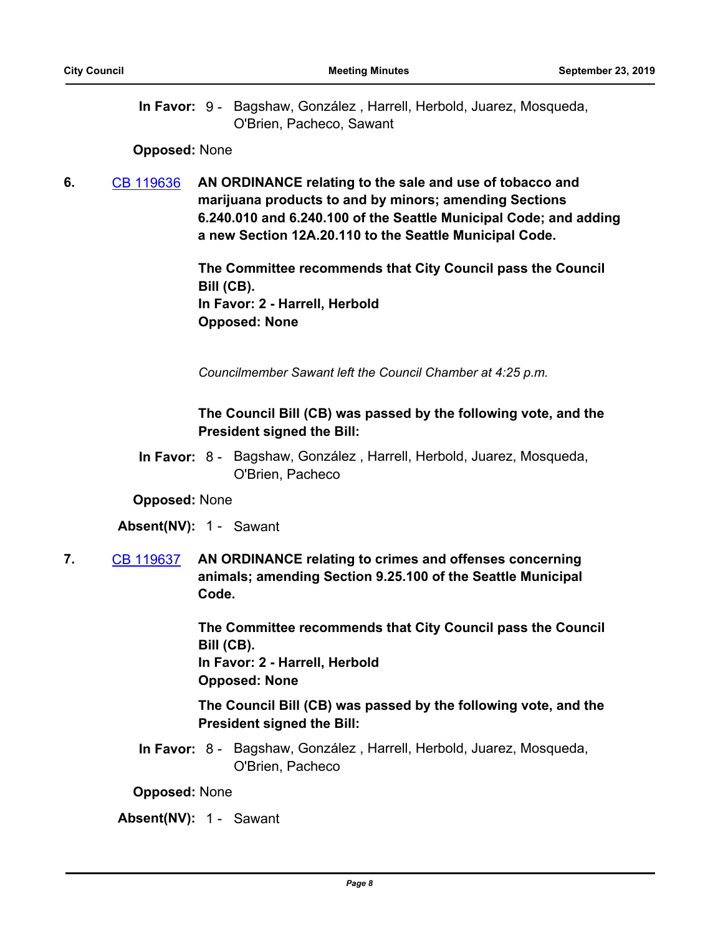In Favor: 9 - Bagshaw, González, Harrell, Herbold, Juarez, Mosqueda, O'Brien, Pacheco, Sawant

#### **Opposed:** None

**6.** [CB 119636](http://seattle.legistar.com/gateway.aspx?m=l&id=/matter.aspx?key=9062) **AN ORDINANCE relating to the sale and use of tobacco and marijuana products to and by minors; amending Sections 6.240.010 and 6.240.100 of the Seattle Municipal Code; and adding a new Section 12A.20.110 to the Seattle Municipal Code.**

> **The Committee recommends that City Council pass the Council Bill (CB). In Favor: 2 - Harrell, Herbold Opposed: None**

*Councilmember Sawant left the Council Chamber at 4:25 p.m.*

## **The Council Bill (CB) was passed by the following vote, and the President signed the Bill:**

In Favor: 8 - Bagshaw, González, Harrell, Herbold, Juarez, Mosqueda, O'Brien, Pacheco

#### **Opposed:** None

#### **Absent(NV):** 1 - Sawant

**7.** [CB 119637](http://seattle.legistar.com/gateway.aspx?m=l&id=/matter.aspx?key=9064) **AN ORDINANCE relating to crimes and offenses concerning animals; amending Section 9.25.100 of the Seattle Municipal Code.**

> **The Committee recommends that City Council pass the Council Bill (CB).**

**In Favor: 2 - Harrell, Herbold Opposed: None**

**The Council Bill (CB) was passed by the following vote, and the President signed the Bill:**

In Favor: 8 - Bagshaw, González, Harrell, Herbold, Juarez, Mosqueda, O'Brien, Pacheco

**Opposed:** None

#### **Absent(NV):** 1 - Sawant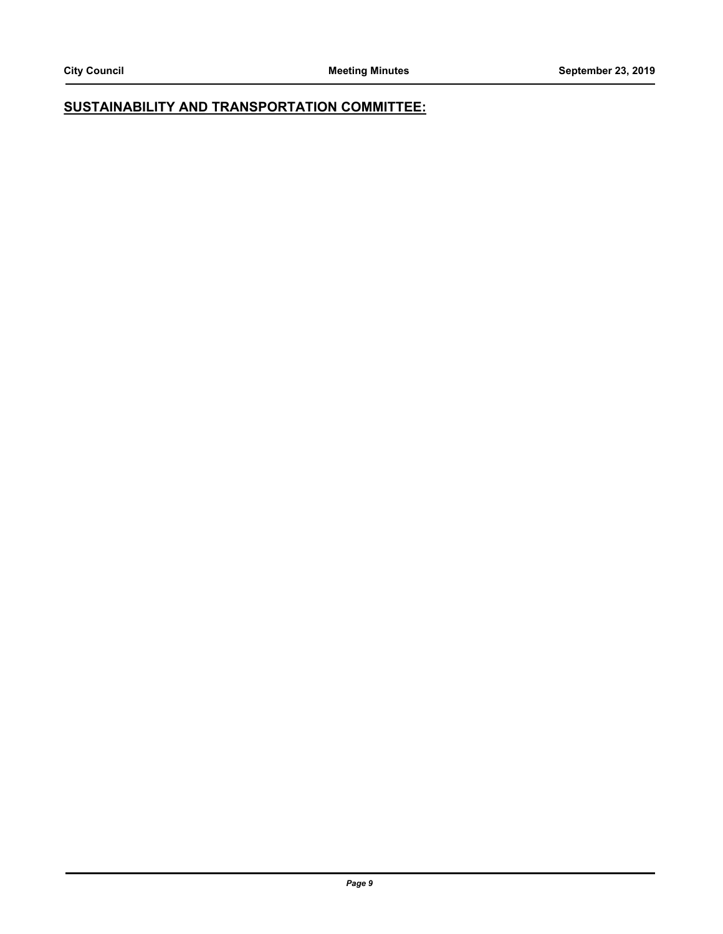## **SUSTAINABILITY AND TRANSPORTATION COMMITTEE:**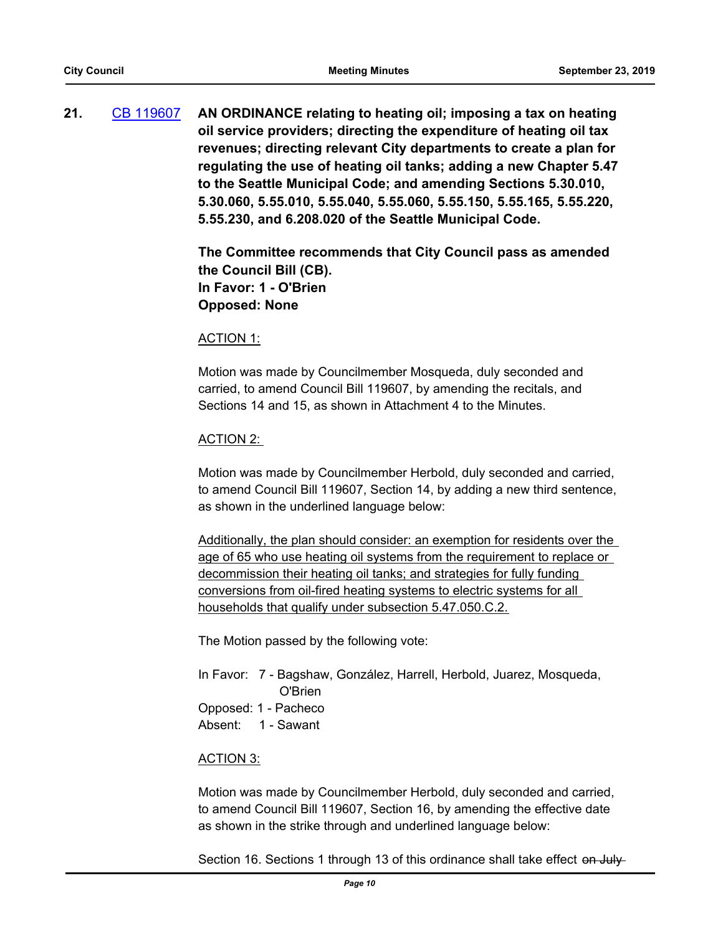**21.** [CB 119607](http://seattle.legistar.com/gateway.aspx?m=l&id=/matter.aspx?key=8863) **AN ORDINANCE relating to heating oil; imposing a tax on heating oil service providers; directing the expenditure of heating oil tax revenues; directing relevant City departments to create a plan for regulating the use of heating oil tanks; adding a new Chapter 5.47 to the Seattle Municipal Code; and amending Sections 5.30.010, 5.30.060, 5.55.010, 5.55.040, 5.55.060, 5.55.150, 5.55.165, 5.55.220, 5.55.230, and 6.208.020 of the Seattle Municipal Code.**

> **The Committee recommends that City Council pass as amended the Council Bill (CB). In Favor: 1 - O'Brien Opposed: None**

#### ACTION 1:

Motion was made by Councilmember Mosqueda, duly seconded and carried, to amend Council Bill 119607, by amending the recitals, and Sections 14 and 15, as shown in Attachment 4 to the Minutes.

#### ACTION 2:

Motion was made by Councilmember Herbold, duly seconded and carried, to amend Council Bill 119607, Section 14, by adding a new third sentence, as shown in the underlined language below:

Additionally, the plan should consider: an exemption for residents over the age of 65 who use heating oil systems from the requirement to replace or decommission their heating oil tanks; and strategies for fully funding conversions from oil-fired heating systems to electric systems for all households that qualify under subsection 5.47.050.C.2.

The Motion passed by the following vote:

In Favor: 7 - Bagshaw, González, Harrell, Herbold, Juarez, Mosqueda, O'Brien Opposed: 1 - Pacheco Absent: 1 - Sawant

#### ACTION 3:

Motion was made by Councilmember Herbold, duly seconded and carried, to amend Council Bill 119607, Section 16, by amending the effective date as shown in the strike through and underlined language below:

Section 16. Sections 1 through 13 of this ordinance shall take effect on July-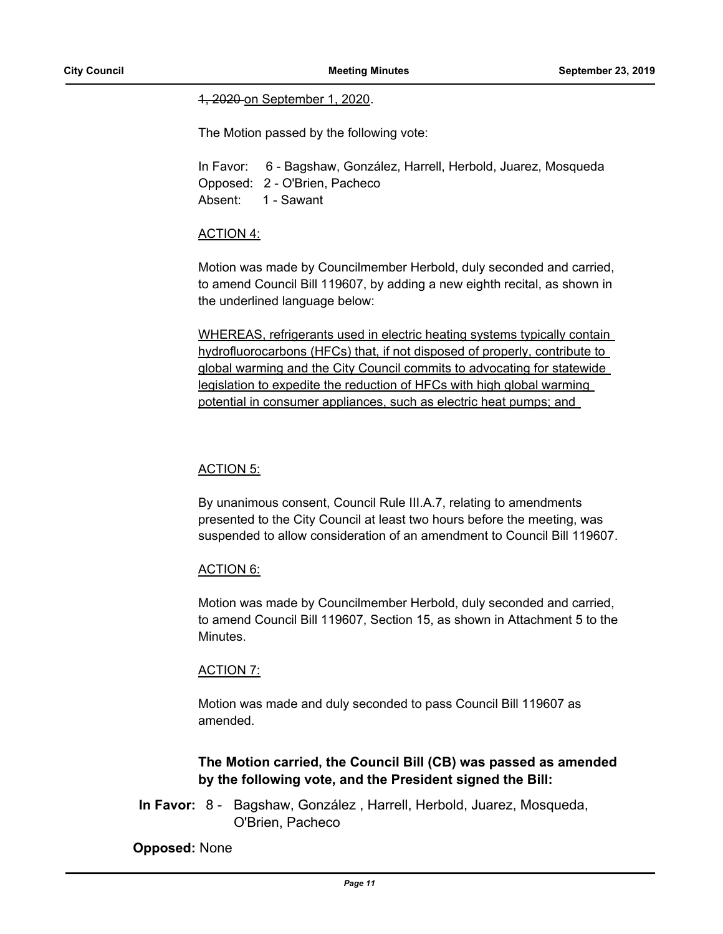#### 1, 2020 on September 1, 2020.

The Motion passed by the following vote:

In Favor: 6 - Bagshaw, González, Harrell, Herbold, Juarez, Mosqueda Opposed: 2 - O'Brien, Pacheco Absent: 1 - Sawant

#### ACTION 4:

Motion was made by Councilmember Herbold, duly seconded and carried, to amend Council Bill 119607, by adding a new eighth recital, as shown in the underlined language below:

WHEREAS, refrigerants used in electric heating systems typically contain hydrofluorocarbons (HFCs) that, if not disposed of properly, contribute to global warming and the City Council commits to advocating for statewide legislation to expedite the reduction of HFCs with high global warming potential in consumer appliances, such as electric heat pumps; and

#### ACTION 5:

By unanimous consent, Council Rule III.A.7, relating to amendments presented to the City Council at least two hours before the meeting, was suspended to allow consideration of an amendment to Council Bill 119607.

#### ACTION 6:

Motion was made by Councilmember Herbold, duly seconded and carried, to amend Council Bill 119607, Section 15, as shown in Attachment 5 to the Minutes.

#### ACTION 7:

Motion was made and duly seconded to pass Council Bill 119607 as amended.

## **The Motion carried, the Council Bill (CB) was passed as amended by the following vote, and the President signed the Bill:**

In Favor: 8 - Bagshaw, González, Harrell, Herbold, Juarez, Mosqueda, O'Brien, Pacheco

#### **Opposed:** None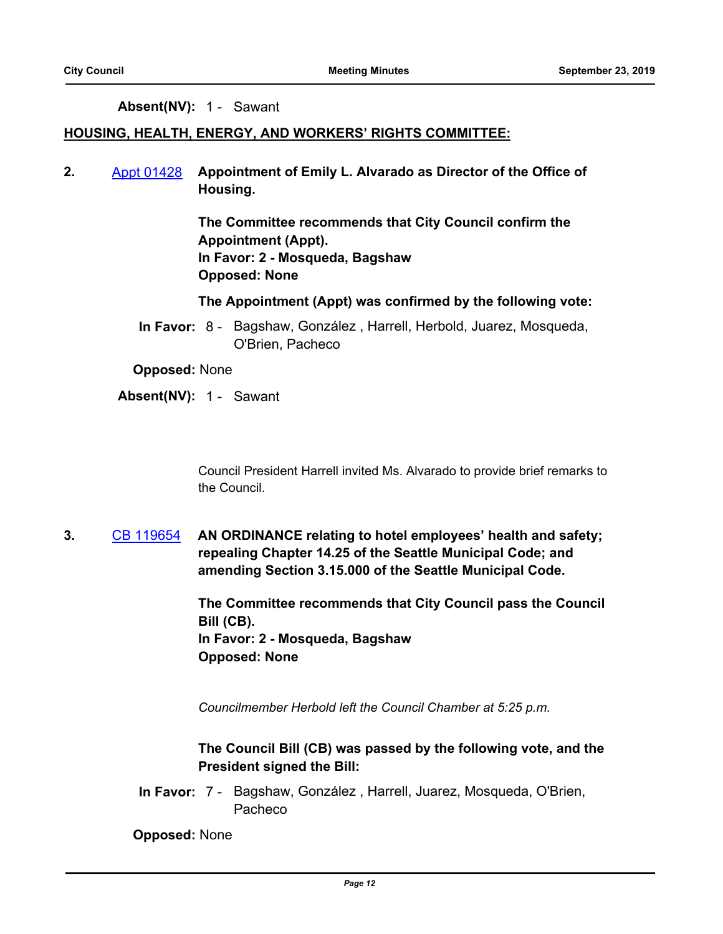#### **Absent(NV):** 1 - Sawant

#### **HOUSING, HEALTH, ENERGY, AND WORKERS' RIGHTS COMMITTEE:**

**2.** [Appt 01428](http://seattle.legistar.com/gateway.aspx?m=l&id=/matter.aspx?key=9087) **Appointment of Emily L. Alvarado as Director of the Office of Housing.**

> **The Committee recommends that City Council confirm the Appointment (Appt). In Favor: 2 - Mosqueda, Bagshaw Opposed: None**

**The Appointment (Appt) was confirmed by the following vote:**

In Favor: 8 - Bagshaw, González, Harrell, Herbold, Juarez, Mosqueda, O'Brien, Pacheco

**Opposed:** None

#### **Absent(NV):** 1 - Sawant

Council President Harrell invited Ms. Alvarado to provide brief remarks to the Council.

**3.** [CB 119654](http://seattle.legistar.com/gateway.aspx?m=l&id=/matter.aspx?key=9131) **AN ORDINANCE relating to hotel employees' health and safety; repealing Chapter 14.25 of the Seattle Municipal Code; and amending Section 3.15.000 of the Seattle Municipal Code.**

> **The Committee recommends that City Council pass the Council Bill (CB). In Favor: 2 - Mosqueda, Bagshaw Opposed: None**

*Councilmember Herbold left the Council Chamber at 5:25 p.m.*

**The Council Bill (CB) was passed by the following vote, and the President signed the Bill:**

In Favor: 7 - Bagshaw, González, Harrell, Juarez, Mosqueda, O'Brien, Pacheco

**Opposed:** None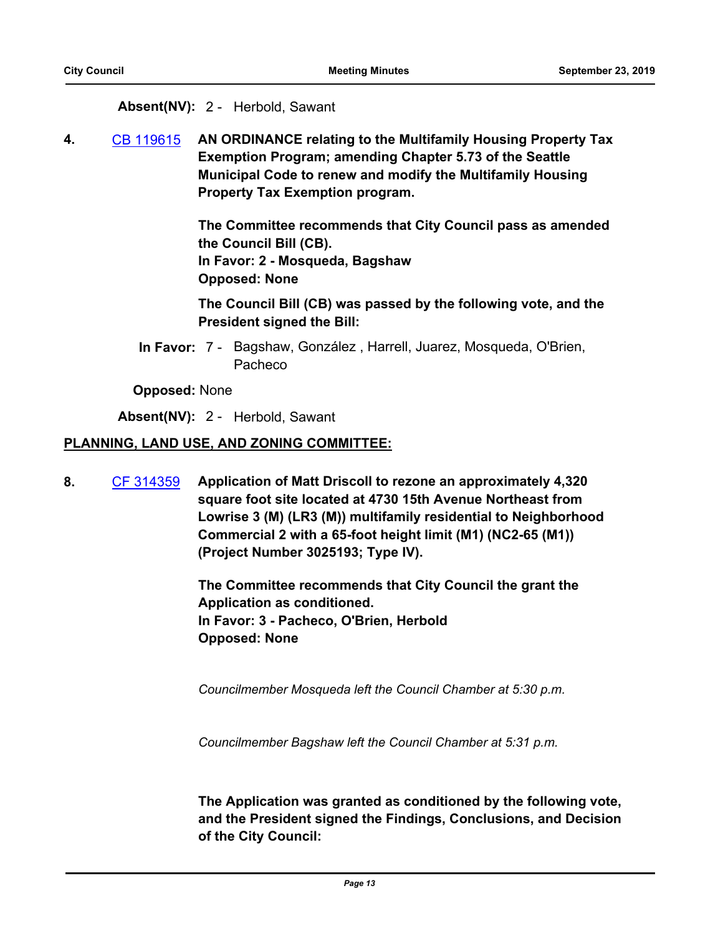#### **Absent(NV):** 2 - Herbold, Sawant

**4.** [CB 119615](http://seattle.legistar.com/gateway.aspx?m=l&id=/matter.aspx?key=8911) **AN ORDINANCE relating to the Multifamily Housing Property Tax Exemption Program; amending Chapter 5.73 of the Seattle Municipal Code to renew and modify the Multifamily Housing Property Tax Exemption program.**

> **The Committee recommends that City Council pass as amended the Council Bill (CB). In Favor: 2 - Mosqueda, Bagshaw Opposed: None**

**The Council Bill (CB) was passed by the following vote, and the President signed the Bill:**

In Favor: 7 - Bagshaw, González, Harrell, Juarez, Mosqueda, O'Brien, Pacheco

#### **Opposed:** None

**Absent(NV):** 2 - Herbold, Sawant

#### **PLANNING, LAND USE, AND ZONING COMMITTEE:**

**8.** [CF 314359](http://seattle.legistar.com/gateway.aspx?m=l&id=/matter.aspx?key=4661) **Application of Matt Driscoll to rezone an approximately 4,320 square foot site located at 4730 15th Avenue Northeast from Lowrise 3 (M) (LR3 (M)) multifamily residential to Neighborhood Commercial 2 with a 65-foot height limit (M1) (NC2-65 (M1)) (Project Number 3025193; Type IV).**

> **The Committee recommends that City Council the grant the Application as conditioned. In Favor: 3 - Pacheco, O'Brien, Herbold Opposed: None**

*Councilmember Mosqueda left the Council Chamber at 5:30 p.m.*

*Councilmember Bagshaw left the Council Chamber at 5:31 p.m.*

**The Application was granted as conditioned by the following vote, and the President signed the Findings, Conclusions, and Decision of the City Council:**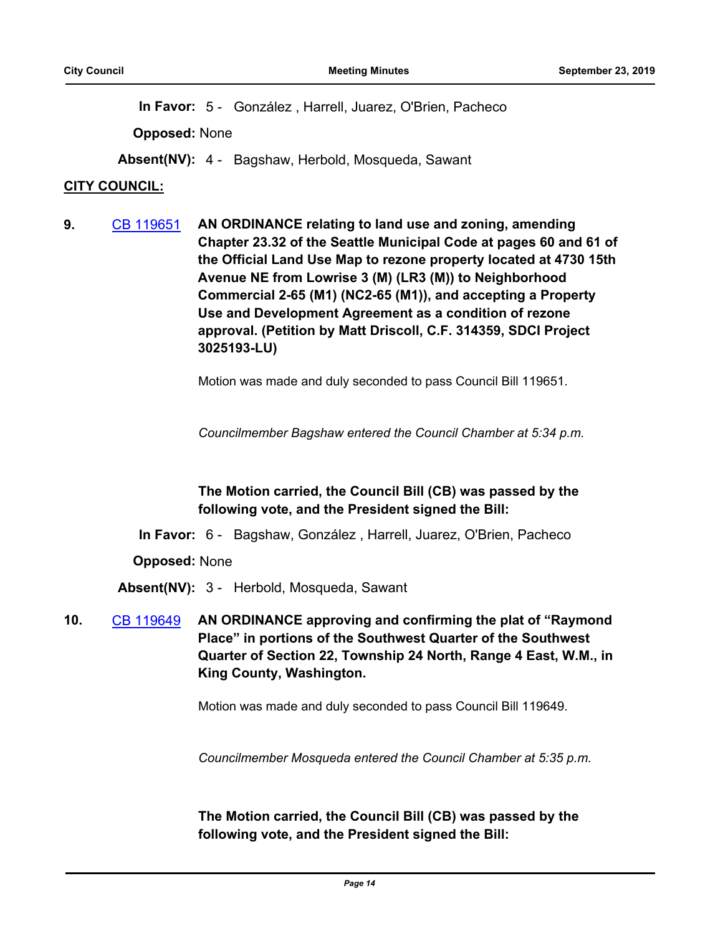**In Favor:** 5 - González , Harrell, Juarez, O'Brien, Pacheco

**Opposed:** None

**Absent(NV):** 4 - Bagshaw, Herbold, Mosqueda, Sawant

## **CITY COUNCIL:**

**9.** [CB 119651](http://seattle.legistar.com/gateway.aspx?m=l&id=/matter.aspx?key=9070) **AN ORDINANCE relating to land use and zoning, amending Chapter 23.32 of the Seattle Municipal Code at pages 60 and 61 of the Official Land Use Map to rezone property located at 4730 15th Avenue NE from Lowrise 3 (M) (LR3 (M)) to Neighborhood Commercial 2-65 (M1) (NC2-65 (M1)), and accepting a Property Use and Development Agreement as a condition of rezone approval. (Petition by Matt Driscoll, C.F. 314359, SDCI Project 3025193-LU)**

Motion was made and duly seconded to pass Council Bill 119651.

*Councilmember Bagshaw entered the Council Chamber at 5:34 p.m.*

## **The Motion carried, the Council Bill (CB) was passed by the following vote, and the President signed the Bill:**

**In Favor:** 6 - Bagshaw, González , Harrell, Juarez, O'Brien, Pacheco

**Opposed:** None

**Absent(NV):** 3 - Herbold, Mosqueda, Sawant

**10.** [CB 119649](http://seattle.legistar.com/gateway.aspx?m=l&id=/matter.aspx?key=8986) **AN ORDINANCE approving and confirming the plat of "Raymond Place" in portions of the Southwest Quarter of the Southwest Quarter of Section 22, Township 24 North, Range 4 East, W.M., in King County, Washington.**

Motion was made and duly seconded to pass Council Bill 119649.

*Councilmember Mosqueda entered the Council Chamber at 5:35 p.m.*

**The Motion carried, the Council Bill (CB) was passed by the following vote, and the President signed the Bill:**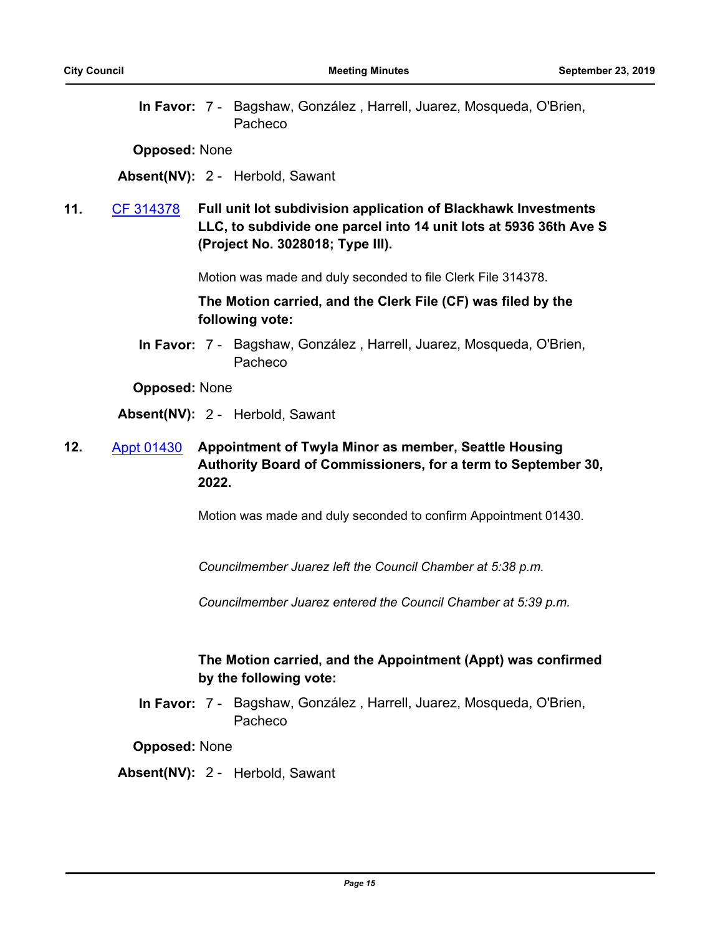In Favor: 7 - Bagshaw, González, Harrell, Juarez, Mosqueda, O'Brien, Pacheco

**Opposed:** None

**Absent(NV):** 2 - Herbold, Sawant

**11.** [CF 314378](http://seattle.legistar.com/gateway.aspx?m=l&id=/matter.aspx?key=5730) **Full unit lot subdivision application of Blackhawk Investments LLC, to subdivide one parcel into 14 unit lots at 5936 36th Ave S (Project No. 3028018; Type III).**

Motion was made and duly seconded to file Clerk File 314378.

**The Motion carried, and the Clerk File (CF) was filed by the following vote:**

In Favor: 7 - Bagshaw, González, Harrell, Juarez, Mosqueda, O'Brien, Pacheco

**Opposed:** None

**Absent(NV):** 2 - Herbold, Sawant

**12.** [Appt 01430](http://seattle.legistar.com/gateway.aspx?m=l&id=/matter.aspx?key=9156) **Appointment of Twyla Minor as member, Seattle Housing Authority Board of Commissioners, for a term to September 30, 2022.**

Motion was made and duly seconded to confirm Appointment 01430.

*Councilmember Juarez left the Council Chamber at 5:38 p.m.*

*Councilmember Juarez entered the Council Chamber at 5:39 p.m.*

## **The Motion carried, and the Appointment (Appt) was confirmed by the following vote:**

In Favor: 7 - Bagshaw, González, Harrell, Juarez, Mosqueda, O'Brien, Pacheco

#### **Opposed:** None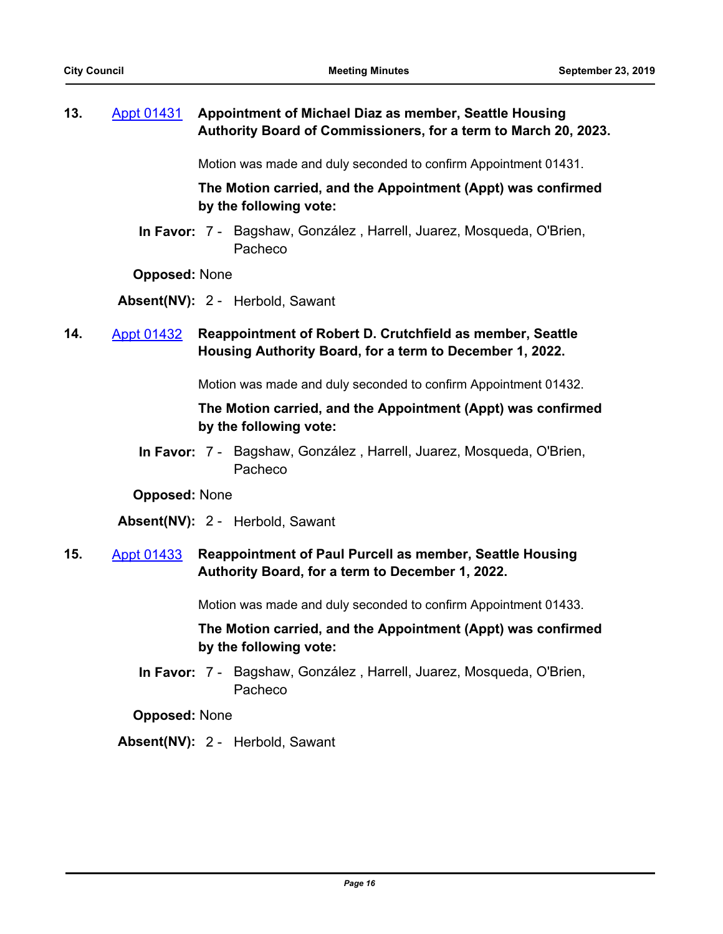## **13.** [Appt 01431](http://seattle.legistar.com/gateway.aspx?m=l&id=/matter.aspx?key=9155) **Appointment of Michael Diaz as member, Seattle Housing Authority Board of Commissioners, for a term to March 20, 2023.**

Motion was made and duly seconded to confirm Appointment 01431.

**The Motion carried, and the Appointment (Appt) was confirmed by the following vote:**

In Favor: 7 - Bagshaw, González, Harrell, Juarez, Mosqueda, O'Brien, Pacheco

**Opposed:** None

**Absent(NV):** 2 - Herbold, Sawant

## **14.** [Appt 01432](http://seattle.legistar.com/gateway.aspx?m=l&id=/matter.aspx?key=9123) **Reappointment of Robert D. Crutchfield as member, Seattle Housing Authority Board, for a term to December 1, 2022.**

Motion was made and duly seconded to confirm Appointment 01432.

### **The Motion carried, and the Appointment (Appt) was confirmed by the following vote:**

In Favor: 7 - Bagshaw, González, Harrell, Juarez, Mosqueda, O'Brien, Pacheco

#### **Opposed:** None

**Absent(NV):** 2 - Herbold, Sawant

## **15.** [Appt 01433](http://seattle.legistar.com/gateway.aspx?m=l&id=/matter.aspx?key=9124) **Reappointment of Paul Purcell as member, Seattle Housing Authority Board, for a term to December 1, 2022.**

Motion was made and duly seconded to confirm Appointment 01433.

## **The Motion carried, and the Appointment (Appt) was confirmed by the following vote:**

In Favor: 7 - Bagshaw, González, Harrell, Juarez, Mosqueda, O'Brien, Pacheco

**Opposed:** None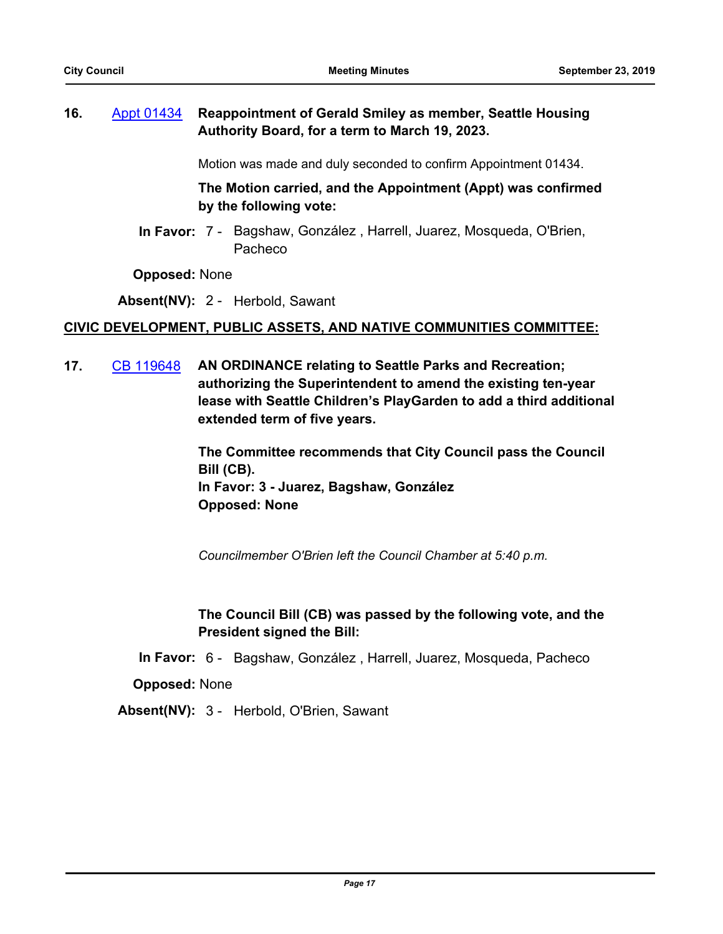## **16.** [Appt 01434](http://seattle.legistar.com/gateway.aspx?m=l&id=/matter.aspx?key=9125) **Reappointment of Gerald Smiley as member, Seattle Housing Authority Board, for a term to March 19, 2023.**

Motion was made and duly seconded to confirm Appointment 01434.

**The Motion carried, and the Appointment (Appt) was confirmed by the following vote:**

In Favor: 7 - Bagshaw, González, Harrell, Juarez, Mosqueda, O'Brien, Pacheco

**Opposed:** None

**Absent(NV):** 2 - Herbold, Sawant

#### **CIVIC DEVELOPMENT, PUBLIC ASSETS, AND NATIVE COMMUNITIES COMMITTEE:**

**17.** [CB 119648](http://seattle.legistar.com/gateway.aspx?m=l&id=/matter.aspx?key=9015) **AN ORDINANCE relating to Seattle Parks and Recreation; authorizing the Superintendent to amend the existing ten-year lease with Seattle Children's PlayGarden to add a third additional extended term of five years.**

> **The Committee recommends that City Council pass the Council Bill (CB). In Favor: 3 - Juarez, Bagshaw, González Opposed: None**

*Councilmember O'Brien left the Council Chamber at 5:40 p.m.*

## **The Council Bill (CB) was passed by the following vote, and the President signed the Bill:**

**In Favor:** 6 - Bagshaw, González , Harrell, Juarez, Mosqueda, Pacheco

**Opposed:** None

**Absent(NV):** 3 - Herbold, O'Brien, Sawant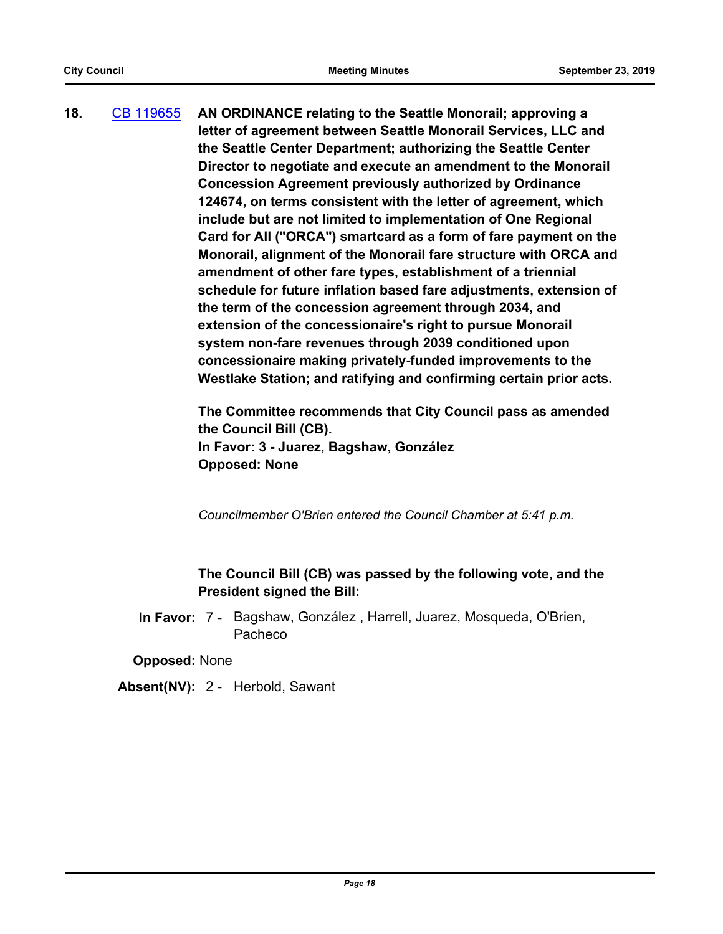**18.** [CB 119655](http://seattle.legistar.com/gateway.aspx?m=l&id=/matter.aspx?key=9083) **AN ORDINANCE relating to the Seattle Monorail; approving a letter of agreement between Seattle Monorail Services, LLC and the Seattle Center Department; authorizing the Seattle Center Director to negotiate and execute an amendment to the Monorail Concession Agreement previously authorized by Ordinance 124674, on terms consistent with the letter of agreement, which include but are not limited to implementation of One Regional Card for All ("ORCA") smartcard as a form of fare payment on the Monorail, alignment of the Monorail fare structure with ORCA and amendment of other fare types, establishment of a triennial schedule for future inflation based fare adjustments, extension of the term of the concession agreement through 2034, and extension of the concessionaire's right to pursue Monorail system non-fare revenues through 2039 conditioned upon concessionaire making privately-funded improvements to the Westlake Station; and ratifying and confirming certain prior acts.**

> **The Committee recommends that City Council pass as amended the Council Bill (CB). In Favor: 3 - Juarez, Bagshaw, González Opposed: None**

*Councilmember O'Brien entered the Council Chamber at 5:41 p.m.*

## **The Council Bill (CB) was passed by the following vote, and the President signed the Bill:**

In Favor: 7 - Bagshaw, González, Harrell, Juarez, Mosqueda, O'Brien, Pacheco

**Opposed:** None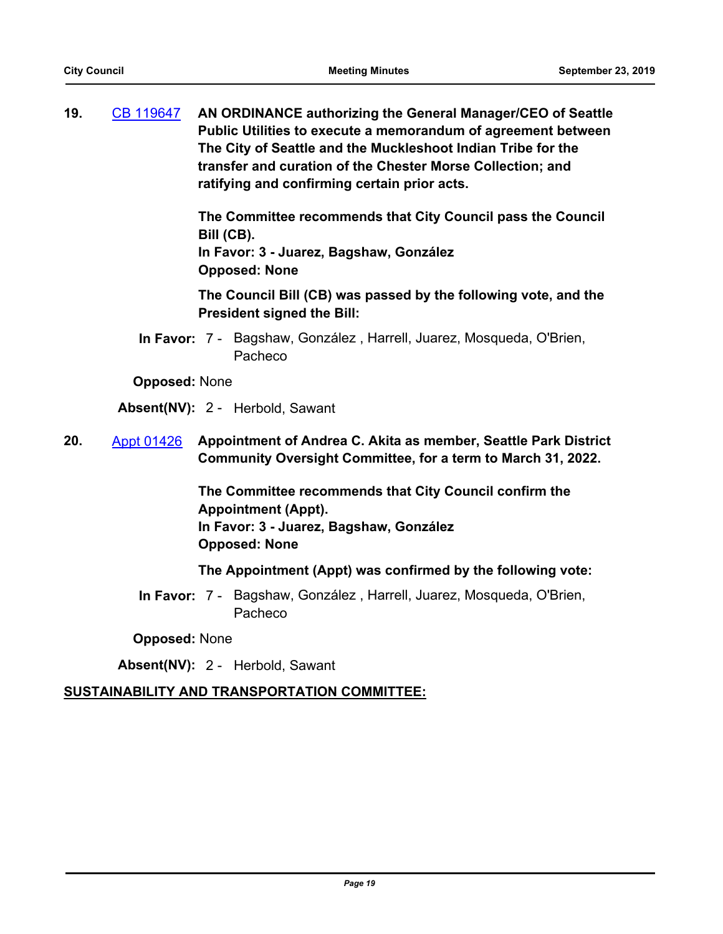**19.** [CB 119647](http://seattle.legistar.com/gateway.aspx?m=l&id=/matter.aspx?key=9024) **AN ORDINANCE authorizing the General Manager/CEO of Seattle Public Utilities to execute a memorandum of agreement between The City of Seattle and the Muckleshoot Indian Tribe for the transfer and curation of the Chester Morse Collection; and ratifying and confirming certain prior acts.**

> **The Committee recommends that City Council pass the Council Bill (CB).**

**In Favor: 3 - Juarez, Bagshaw, González Opposed: None**

**The Council Bill (CB) was passed by the following vote, and the President signed the Bill:**

In Favor: 7 - Bagshaw, González, Harrell, Juarez, Mosqueda, O'Brien, Pacheco

**Opposed:** None

**Absent(NV):** 2 - Herbold, Sawant

**20.** [Appt 01426](http://seattle.legistar.com/gateway.aspx?m=l&id=/matter.aspx?key=9079) **Appointment of Andrea C. Akita as member, Seattle Park District Community Oversight Committee, for a term to March 31, 2022.**

> **The Committee recommends that City Council confirm the Appointment (Appt). In Favor: 3 - Juarez, Bagshaw, González Opposed: None**

**The Appointment (Appt) was confirmed by the following vote:**

In Favor: 7 - Bagshaw, González, Harrell, Juarez, Mosqueda, O'Brien, Pacheco

**Opposed:** None

**Absent(NV):** 2 - Herbold, Sawant

## **SUSTAINABILITY AND TRANSPORTATION COMMITTEE:**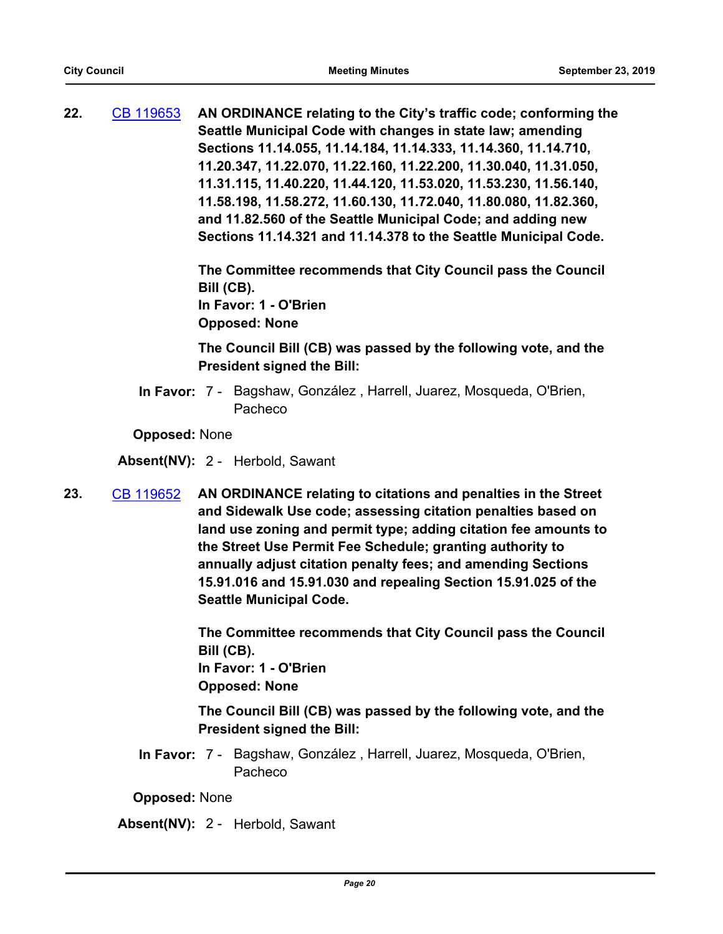**22.** [CB 119653](http://seattle.legistar.com/gateway.aspx?m=l&id=/matter.aspx?key=9138) **AN ORDINANCE relating to the City's traffic code; conforming the Seattle Municipal Code with changes in state law; amending Sections 11.14.055, 11.14.184, 11.14.333, 11.14.360, 11.14.710, 11.20.347, 11.22.070, 11.22.160, 11.22.200, 11.30.040, 11.31.050, 11.31.115, 11.40.220, 11.44.120, 11.53.020, 11.53.230, 11.56.140, 11.58.198, 11.58.272, 11.60.130, 11.72.040, 11.80.080, 11.82.360, and 11.82.560 of the Seattle Municipal Code; and adding new Sections 11.14.321 and 11.14.378 to the Seattle Municipal Code.**

> **The Committee recommends that City Council pass the Council Bill (CB). In Favor: 1 - O'Brien**

**Opposed: None**

**The Council Bill (CB) was passed by the following vote, and the President signed the Bill:**

In Favor: 7 - Bagshaw, González, Harrell, Juarez, Mosqueda, O'Brien, Pacheco

**Opposed:** None

**Absent(NV):** 2 - Herbold, Sawant

**23.** [CB 119652](http://seattle.legistar.com/gateway.aspx?m=l&id=/matter.aspx?key=9055) **AN ORDINANCE relating to citations and penalties in the Street and Sidewalk Use code; assessing citation penalties based on land use zoning and permit type; adding citation fee amounts to the Street Use Permit Fee Schedule; granting authority to annually adjust citation penalty fees; and amending Sections 15.91.016 and 15.91.030 and repealing Section 15.91.025 of the Seattle Municipal Code.**

> **The Committee recommends that City Council pass the Council Bill (CB). In Favor: 1 - O'Brien**

**Opposed: None**

**The Council Bill (CB) was passed by the following vote, and the President signed the Bill:**

In Favor: 7 - Bagshaw, González, Harrell, Juarez, Mosqueda, O'Brien, Pacheco

**Opposed:** None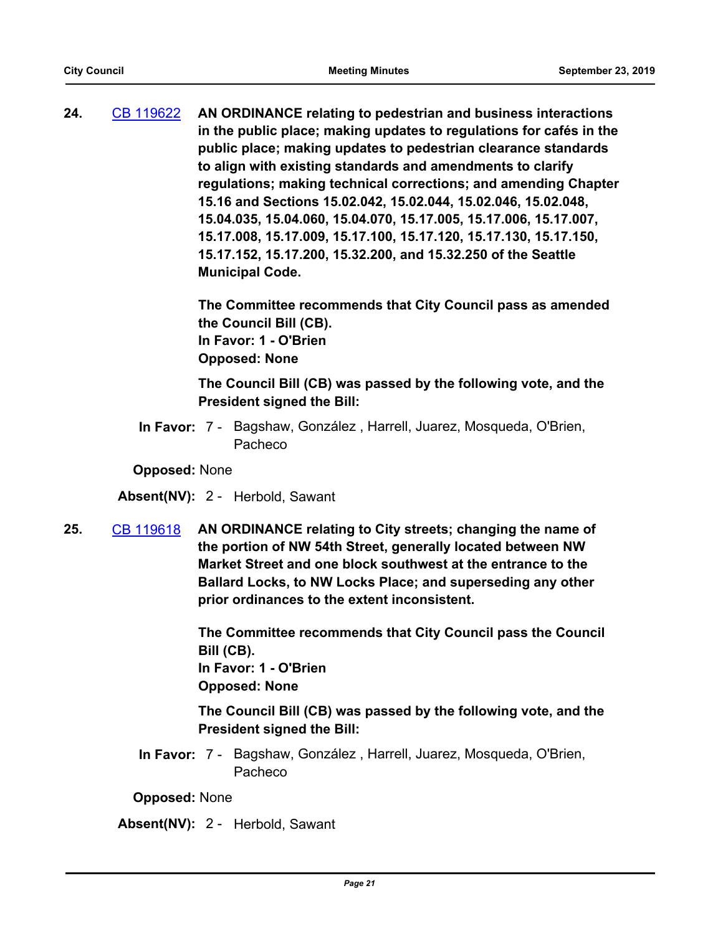**24.** [CB 119622](http://seattle.legistar.com/gateway.aspx?m=l&id=/matter.aspx?key=9037) **AN ORDINANCE relating to pedestrian and business interactions in the public place; making updates to regulations for cafés in the public place; making updates to pedestrian clearance standards to align with existing standards and amendments to clarify regulations; making technical corrections; and amending Chapter 15.16 and Sections 15.02.042, 15.02.044, 15.02.046, 15.02.048, 15.04.035, 15.04.060, 15.04.070, 15.17.005, 15.17.006, 15.17.007, 15.17.008, 15.17.009, 15.17.100, 15.17.120, 15.17.130, 15.17.150, 15.17.152, 15.17.200, 15.32.200, and 15.32.250 of the Seattle Municipal Code.**

> **The Committee recommends that City Council pass as amended the Council Bill (CB). In Favor: 1 - O'Brien Opposed: None**

**The Council Bill (CB) was passed by the following vote, and the President signed the Bill:**

In Favor: 7 - Bagshaw, González, Harrell, Juarez, Mosqueda, O'Brien, Pacheco

**Opposed:** None

**Absent(NV):** 2 - Herbold, Sawant

**25.** [CB 119618](http://seattle.legistar.com/gateway.aspx?m=l&id=/matter.aspx?key=8461) **AN ORDINANCE relating to City streets; changing the name of the portion of NW 54th Street, generally located between NW Market Street and one block southwest at the entrance to the Ballard Locks, to NW Locks Place; and superseding any other prior ordinances to the extent inconsistent.**

> **The Committee recommends that City Council pass the Council Bill (CB). In Favor: 1 - O'Brien**

**Opposed: None**

**The Council Bill (CB) was passed by the following vote, and the President signed the Bill:**

In Favor: 7 - Bagshaw, González, Harrell, Juarez, Mosqueda, O'Brien, Pacheco

**Opposed:** None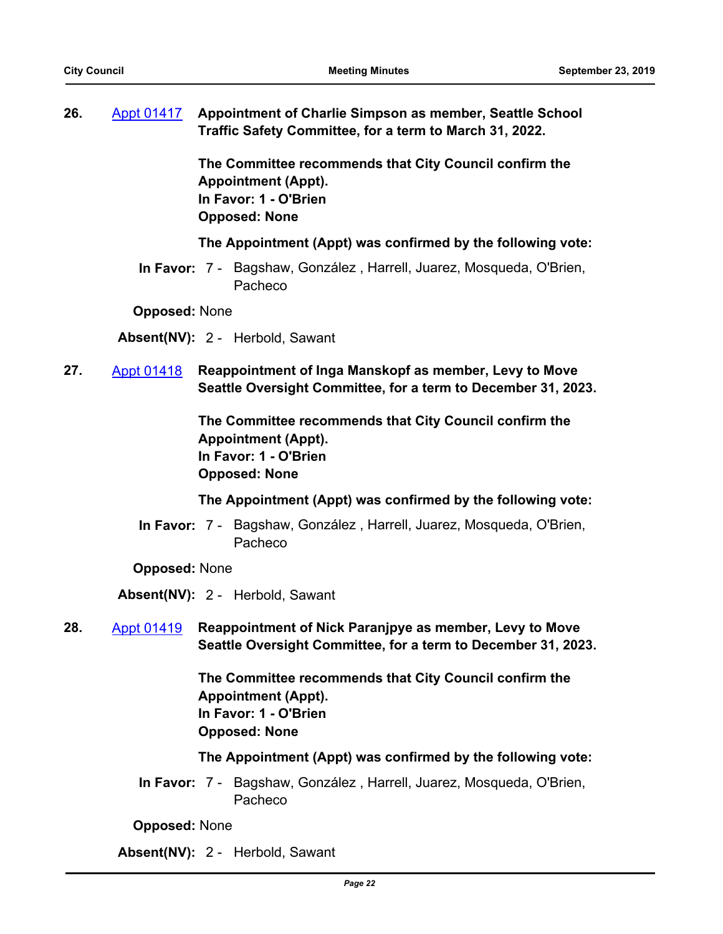**26.** [Appt 01417](http://seattle.legistar.com/gateway.aspx?m=l&id=/matter.aspx?key=9033) **Appointment of Charlie Simpson as member, Seattle School Traffic Safety Committee, for a term to March 31, 2022.**

> **The Committee recommends that City Council confirm the Appointment (Appt). In Favor: 1 - O'Brien Opposed: None**

#### **The Appointment (Appt) was confirmed by the following vote:**

In Favor: 7 - Bagshaw, González, Harrell, Juarez, Mosqueda, O'Brien, Pacheco

**Opposed:** None

**Absent(NV):** 2 - Herbold, Sawant

**27.** [Appt 01418](http://seattle.legistar.com/gateway.aspx?m=l&id=/matter.aspx?key=9136) **Reappointment of Inga Manskopf as member, Levy to Move Seattle Oversight Committee, for a term to December 31, 2023.**

> **The Committee recommends that City Council confirm the Appointment (Appt). In Favor: 1 - O'Brien Opposed: None**

#### **The Appointment (Appt) was confirmed by the following vote:**

In Favor: 7 - Bagshaw, González, Harrell, Juarez, Mosqueda, O'Brien, Pacheco

**Opposed:** None

**Absent(NV):** 2 - Herbold, Sawant

**28.** [Appt 01419](http://seattle.legistar.com/gateway.aspx?m=l&id=/matter.aspx?key=9137) **Reappointment of Nick Paranjpye as member, Levy to Move Seattle Oversight Committee, for a term to December 31, 2023.**

> **The Committee recommends that City Council confirm the Appointment (Appt). In Favor: 1 - O'Brien Opposed: None**

#### **The Appointment (Appt) was confirmed by the following vote:**

In Favor: 7 - Bagshaw, González, Harrell, Juarez, Mosqueda, O'Brien, Pacheco

**Opposed:** None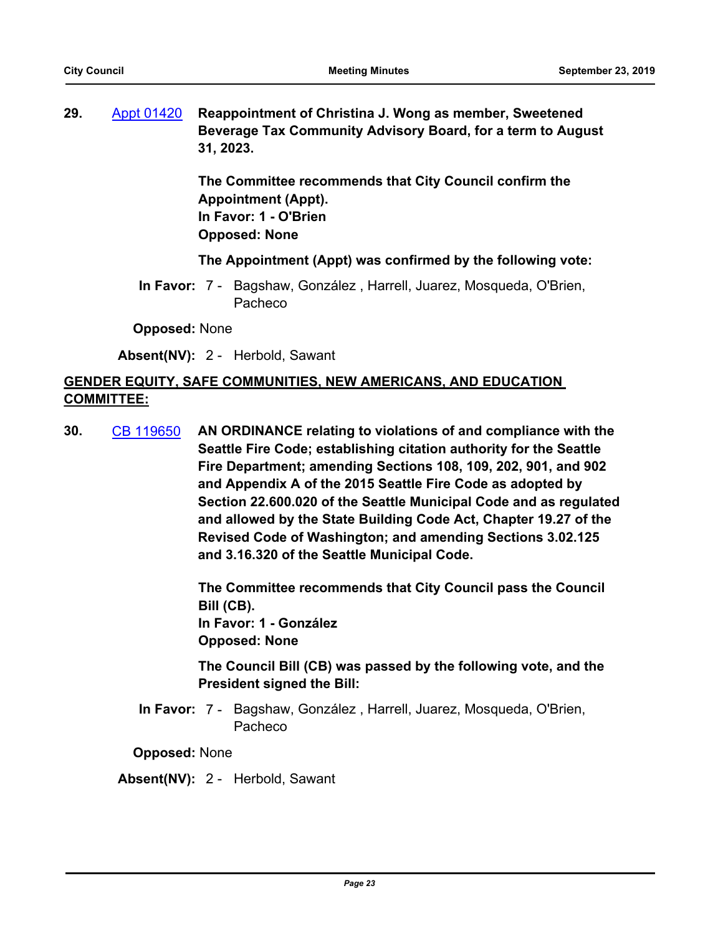**29.** [Appt 01420](http://seattle.legistar.com/gateway.aspx?m=l&id=/matter.aspx?key=9133) **Reappointment of Christina J. Wong as member, Sweetened Beverage Tax Community Advisory Board, for a term to August 31, 2023.**

> **The Committee recommends that City Council confirm the Appointment (Appt). In Favor: 1 - O'Brien Opposed: None**

#### **The Appointment (Appt) was confirmed by the following vote:**

In Favor: 7 - Bagshaw, González, Harrell, Juarez, Mosqueda, O'Brien, Pacheco

**Opposed:** None

**Absent(NV):** 2 - Herbold, Sawant

## **GENDER EQUITY, SAFE COMMUNITIES, NEW AMERICANS, AND EDUCATION COMMITTEE:**

**30.** [CB 119650](http://seattle.legistar.com/gateway.aspx?m=l&id=/matter.aspx?key=8982) **AN ORDINANCE relating to violations of and compliance with the Seattle Fire Code; establishing citation authority for the Seattle Fire Department; amending Sections 108, 109, 202, 901, and 902 and Appendix A of the 2015 Seattle Fire Code as adopted by Section 22.600.020 of the Seattle Municipal Code and as regulated and allowed by the State Building Code Act, Chapter 19.27 of the Revised Code of Washington; and amending Sections 3.02.125 and 3.16.320 of the Seattle Municipal Code.**

> **The Committee recommends that City Council pass the Council Bill (CB). In Favor: 1 - González Opposed: None**

> **The Council Bill (CB) was passed by the following vote, and the President signed the Bill:**

In Favor: 7 - Bagshaw, González, Harrell, Juarez, Mosqueda, O'Brien, Pacheco

**Opposed:** None